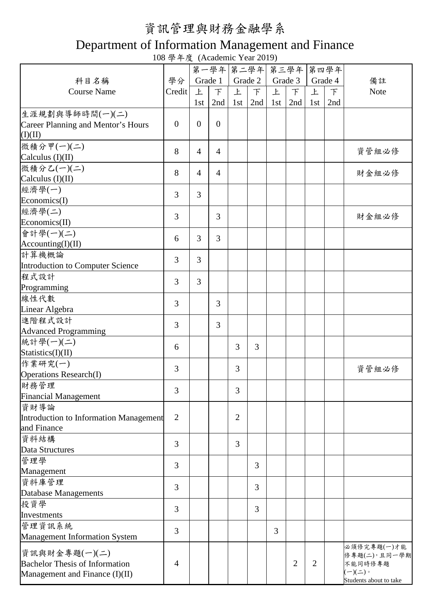## 資訊管理與財務金融學系

## Department of Information Management and Finance

108 學年度 (Academic Year 2019)

|                                        |                |                | 第一學年 第二學年 第三學年 |                |                |     |                |                | 第四學年    |                        |
|----------------------------------------|----------------|----------------|----------------|----------------|----------------|-----|----------------|----------------|---------|------------------------|
| 科目名稱                                   | 學分             |                | Grade 1        |                | Grade 2        |     | Grade 3        |                | Grade 4 | 備註                     |
| <b>Course Name</b>                     | Credit         | 上              | $\top$         | 上              | F              | 上   | $\top$         | 上              | $\top$  | Note                   |
|                                        |                | 1st            | 2nd            | 1st            | 2nd            | 1st | 2nd            | 1st            | 2nd     |                        |
| 生涯規劃與導師時間(一)(二)                        |                |                |                |                |                |     |                |                |         |                        |
| Career Planning and Mentor's Hours     | $\overline{0}$ | $\overline{0}$ | $\overline{0}$ |                |                |     |                |                |         |                        |
| (I)(II)                                |                |                |                |                |                |     |                |                |         |                        |
| 微積分甲(一)(二)                             |                |                |                |                |                |     |                |                |         |                        |
|                                        | 8              | $\overline{4}$ | $\overline{4}$ |                |                |     |                |                |         | 資管組必修                  |
| Calculus (I)(II)                       |                |                |                |                |                |     |                |                |         |                        |
| 微積分乙(一)(二)                             | 8              | $\overline{4}$ | $\overline{4}$ |                |                |     |                |                |         | 財金組必修                  |
| Calculus $(I)(II)$                     |                |                |                |                |                |     |                |                |         |                        |
| 經濟學(一)                                 | $\overline{3}$ | 3              |                |                |                |     |                |                |         |                        |
| Economics(I)                           |                |                |                |                |                |     |                |                |         |                        |
| 經濟學(二)                                 | $\overline{3}$ |                | 3              |                |                |     |                |                |         | 財金組必修                  |
| Economics(II)                          |                |                |                |                |                |     |                |                |         |                        |
| 會計學(一)(二)                              | 6              | 3              | 3              |                |                |     |                |                |         |                        |
| According(I)(II)                       |                |                |                |                |                |     |                |                |         |                        |
| 計算機概論                                  | $\overline{3}$ | 3              |                |                |                |     |                |                |         |                        |
| Introduction to Computer Science       |                |                |                |                |                |     |                |                |         |                        |
| 程式設計                                   | $\overline{3}$ | 3              |                |                |                |     |                |                |         |                        |
| Programming                            |                |                |                |                |                |     |                |                |         |                        |
| 線性代數                                   | 3              |                | 3              |                |                |     |                |                |         |                        |
| Linear Algebra                         |                |                |                |                |                |     |                |                |         |                        |
| 進階程式設計                                 | 3              |                | 3              |                |                |     |                |                |         |                        |
| <b>Advanced Programming</b>            |                |                |                |                |                |     |                |                |         |                        |
| 統計學(一)(二)                              |                |                |                |                |                |     |                |                |         |                        |
| Statistics(I)(II)                      | 6              |                |                | 3              | $\overline{3}$ |     |                |                |         |                        |
| 作業研究(一)                                |                |                |                |                |                |     |                |                |         |                        |
| <b>Operations Research(I)</b>          | $\overline{3}$ |                |                | 3              |                |     |                |                |         | 資管組必修                  |
| 財務管理                                   |                |                |                |                |                |     |                |                |         |                        |
| <b>Financial Management</b>            | 3              |                |                | 3              |                |     |                |                |         |                        |
| 資財導論                                   |                |                |                |                |                |     |                |                |         |                        |
| Introduction to Information Management | $\overline{2}$ |                |                | $\overline{2}$ |                |     |                |                |         |                        |
| and Finance                            |                |                |                |                |                |     |                |                |         |                        |
| 資料結構                                   |                |                |                |                |                |     |                |                |         |                        |
| Data Structures                        | 3              |                |                | 3              |                |     |                |                |         |                        |
| 管理學                                    |                |                |                |                |                |     |                |                |         |                        |
| Management                             | 3              |                |                |                | 3              |     |                |                |         |                        |
| 資料庫管理                                  |                |                |                |                |                |     |                |                |         |                        |
| Database Managements                   | 3              |                |                |                | 3              |     |                |                |         |                        |
| 投資學                                    |                |                |                |                |                |     |                |                |         |                        |
| Investments                            | 3              |                |                |                | 3              |     |                |                |         |                        |
| 管理資訊系統                                 |                |                |                |                |                |     |                |                |         |                        |
|                                        | 3              |                |                |                |                | 3   |                |                |         |                        |
| <b>Management Information System</b>   |                |                |                |                |                |     |                |                |         | 必須修完專題(一)才能            |
| 資訊與財金專題(一)(二)                          |                |                |                |                |                |     |                |                |         | 修專題(二),且同一學期           |
| <b>Bachelor Thesis of Information</b>  | $\overline{4}$ |                |                |                |                |     | $\overline{2}$ | $\overline{2}$ |         | 不能同時修專題                |
| Management and Finance (I)(II)         |                |                |                |                |                |     |                |                |         | $(-)(\dot{-})$         |
|                                        |                |                |                |                |                |     |                |                |         | Students about to take |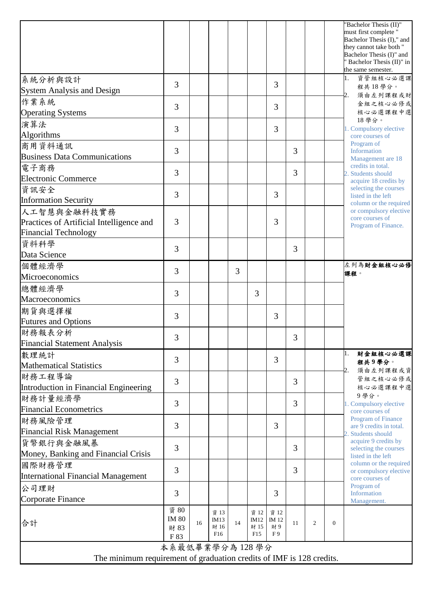|                                                                      |                |    |              |    |              |                |    |                |          | "Bachelor Thesis (II)"<br>must first complete "<br>Bachelor Thesis (I)," and<br>they cannot take both "<br>Bachelor Thesis (I)" and<br>Bachelor Thesis (II)" in<br>the same semester. |
|----------------------------------------------------------------------|----------------|----|--------------|----|--------------|----------------|----|----------------|----------|---------------------------------------------------------------------------------------------------------------------------------------------------------------------------------------|
| 系統分析與設計                                                              | 3              |    |              |    |              | 3              |    |                |          | 資管組核心必選課<br>1.<br>程共18學分。                                                                                                                                                             |
| <b>System Analysis and Design</b>                                    |                |    |              |    |              |                |    |                |          | 須由左列課程或財<br>2.                                                                                                                                                                        |
| 作業系統<br><b>Operating Systems</b>                                     | 3              |    |              |    |              | 3              |    |                |          | 金組之核心必修或<br>核心必選課程中選                                                                                                                                                                  |
| 演算法                                                                  | 3              |    |              |    |              | 3              |    |                |          | 18學分。<br>1. Compulsory elective                                                                                                                                                       |
| Algorithms<br>商用資料通訊                                                 |                |    |              |    |              |                |    |                |          | core courses of<br>Program of<br>Information<br>Management are 18                                                                                                                     |
| <b>Business Data Communications</b>                                  | 3              |    |              |    |              |                | 3  |                |          |                                                                                                                                                                                       |
| 電子商務                                                                 | 3              |    |              |    |              |                | 3  |                |          | credits in total.                                                                                                                                                                     |
| <b>Electronic Commerce</b>                                           |                |    |              |    |              |                |    |                |          | 2. Students should<br>acquire 18 credits by                                                                                                                                           |
| 資訊安全                                                                 | 3              |    |              |    |              | $\overline{3}$ |    |                |          | selecting the courses                                                                                                                                                                 |
| <b>Information Security</b>                                          |                |    |              |    |              |                |    |                |          | listed in the left<br>column or the required                                                                                                                                          |
| 人工智慧與金融科技實務                                                          |                |    |              |    |              |                |    |                |          | or compulsory elective                                                                                                                                                                |
| Practices of Artificial Intelligence and                             | 3              |    |              |    |              | 3              |    |                |          | core courses of<br>Program of Finance.                                                                                                                                                |
| <b>Financial Technology</b>                                          |                |    |              |    |              |                |    |                |          |                                                                                                                                                                                       |
| 資料科學                                                                 |                |    |              |    |              |                |    |                |          |                                                                                                                                                                                       |
| Data Science                                                         | 3              |    |              |    |              |                | 3  |                |          |                                                                                                                                                                                       |
| 個體經濟學                                                                |                |    |              |    |              |                |    |                |          | 左列為財金組核心必修                                                                                                                                                                            |
| Microeconomics                                                       | 3              |    |              | 3  |              |                |    |                |          | 課程。                                                                                                                                                                                   |
| 總體經濟學                                                                |                |    |              |    |              |                |    |                |          |                                                                                                                                                                                       |
| Macroeconomics                                                       | 3              |    |              |    | 3            |                |    |                |          |                                                                                                                                                                                       |
| 期貨與選擇權                                                               |                |    |              |    |              |                |    |                |          |                                                                                                                                                                                       |
| <b>Futures and Options</b>                                           | 3              |    |              |    |              | 3              |    |                |          |                                                                                                                                                                                       |
| 財務報表分析                                                               |                |    |              |    |              |                |    |                |          |                                                                                                                                                                                       |
| <b>Financial Statement Analysis</b>                                  | 3              |    |              |    |              |                | 3  |                |          |                                                                                                                                                                                       |
|                                                                      |                |    |              |    |              |                |    |                |          | 財金組核心必選課<br>1.                                                                                                                                                                        |
| 數理統計<br><b>Mathematical Statistics</b>                               | 3              |    |              |    |              | 3              |    |                |          | 程共9學分。                                                                                                                                                                                |
| 財務工程導論                                                               |                |    |              |    |              |                |    |                |          | 須由左列課程或資<br>2.                                                                                                                                                                        |
|                                                                      | 3              |    |              |    |              |                | 3  |                |          | 管組之核心必修或                                                                                                                                                                              |
| Introduction in Financial Engineering                                |                |    |              |    |              |                |    |                |          | 核心必選課程中選<br>9學分。                                                                                                                                                                      |
| 財務計量經濟學                                                              | 3              |    |              |    |              |                | 3  |                |          | 1. Compulsory elective                                                                                                                                                                |
| <b>Financial Econometrics</b>                                        |                |    |              |    |              |                |    |                |          | core courses of<br><b>Program of Finance</b>                                                                                                                                          |
| 財務風險管理                                                               | 3              |    |              |    |              | 3              |    |                |          | are 9 credits in total.                                                                                                                                                               |
| <b>Financial Risk Management</b>                                     |                |    |              |    |              |                |    |                |          | Students should                                                                                                                                                                       |
| 貨幣銀行與金融風暴                                                            | 3              |    |              |    |              |                | 3  |                |          | acquire 9 credits by<br>selecting the courses                                                                                                                                         |
| Money, Banking and Financial Crisis                                  |                |    |              |    |              |                |    |                |          | listed in the left                                                                                                                                                                    |
| 國際財務管理                                                               | $\overline{3}$ |    |              |    |              |                | 3  |                |          | column or the required<br>or compulsory elective                                                                                                                                      |
| International Financial Management                                   |                |    |              |    |              |                |    |                |          | core courses of                                                                                                                                                                       |
| 公司理財                                                                 | 3              |    |              |    |              | 3              |    |                |          | Program of<br>Information                                                                                                                                                             |
| Corporate Finance                                                    |                |    |              |    |              |                |    |                |          | Management.                                                                                                                                                                           |
|                                                                      | 資 80           |    | 資 13         |    | 資 12         | 資 12           |    |                |          |                                                                                                                                                                                       |
| 合計                                                                   | <b>IM 80</b>   | 16 | IM13<br>財 16 | 14 | IM12<br>財 15 | IM 12<br>財9    | 11 | $\overline{2}$ | $\Omega$ |                                                                                                                                                                                       |
|                                                                      | 財 83<br>F 83   |    | F16          |    | F15          | F9             |    |                |          |                                                                                                                                                                                       |
| 本系最低畢業學分為128學分                                                       |                |    |              |    |              |                |    |                |          |                                                                                                                                                                                       |
| The minimum requirement of graduation credits of IMF is 128 credits. |                |    |              |    |              |                |    |                |          |                                                                                                                                                                                       |
|                                                                      |                |    |              |    |              |                |    |                |          |                                                                                                                                                                                       |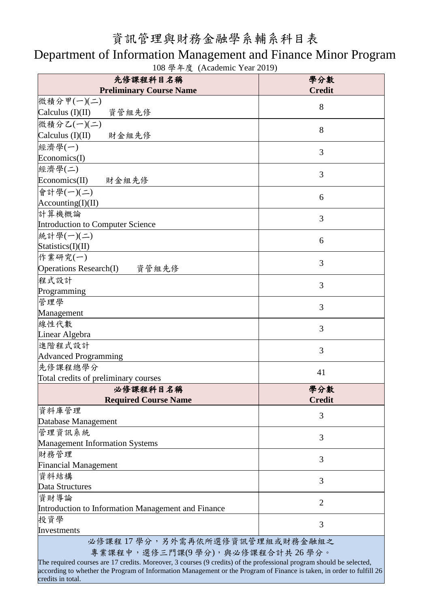## 資訊管理與財務金融學系輔系科目表

## Department of Information Management and Finance Minor Program

| 先修課程科目名稱                                                                                                                                                                                              | 學分數                  |  |  |  |  |
|-------------------------------------------------------------------------------------------------------------------------------------------------------------------------------------------------------|----------------------|--|--|--|--|
| <b>Preliminary Course Name</b>                                                                                                                                                                        | <b>Credit</b>        |  |  |  |  |
| 微積分甲(一)(二)                                                                                                                                                                                            | 8                    |  |  |  |  |
| Calculus $(I)(II)$<br>資管組先修                                                                                                                                                                           |                      |  |  |  |  |
| 微積分乙(一)(二)                                                                                                                                                                                            | 8                    |  |  |  |  |
| Calculus $(I)(II)$<br>財金組先修                                                                                                                                                                           |                      |  |  |  |  |
| 經濟學(一)                                                                                                                                                                                                | 3                    |  |  |  |  |
| Economics(I)                                                                                                                                                                                          |                      |  |  |  |  |
| 經濟學(二)                                                                                                                                                                                                | 3                    |  |  |  |  |
| Economics(II)<br>財金組先修                                                                                                                                                                                |                      |  |  |  |  |
| 會計學(一)(二)                                                                                                                                                                                             | 6                    |  |  |  |  |
| $\text{According}(I)(II)$                                                                                                                                                                             |                      |  |  |  |  |
| 計算機概論                                                                                                                                                                                                 | 3                    |  |  |  |  |
| Introduction to Computer Science                                                                                                                                                                      |                      |  |  |  |  |
| [統計學(一)(二)                                                                                                                                                                                            | 6                    |  |  |  |  |
| Statistics(I)(II)                                                                                                                                                                                     |                      |  |  |  |  |
| 作業研究(一)                                                                                                                                                                                               | 3                    |  |  |  |  |
| <b>Operations Research(I)</b><br>資管組先修                                                                                                                                                                |                      |  |  |  |  |
| 程式設計                                                                                                                                                                                                  | 3                    |  |  |  |  |
| Programming                                                                                                                                                                                           |                      |  |  |  |  |
| 管理學                                                                                                                                                                                                   | 3                    |  |  |  |  |
| Management                                                                                                                                                                                            |                      |  |  |  |  |
| 線性代數                                                                                                                                                                                                  | 3                    |  |  |  |  |
| Linear Algebra                                                                                                                                                                                        |                      |  |  |  |  |
| 進階程式設計                                                                                                                                                                                                | 3                    |  |  |  |  |
| <b>Advanced Programming</b>                                                                                                                                                                           |                      |  |  |  |  |
| 先修課程總學分                                                                                                                                                                                               | 41                   |  |  |  |  |
| Total credits of preliminary courses                                                                                                                                                                  |                      |  |  |  |  |
| 必修課程科目名稱<br><b>Required Course Name</b>                                                                                                                                                               | 學分數<br><b>Credit</b> |  |  |  |  |
| 資料庫管理                                                                                                                                                                                                 |                      |  |  |  |  |
| Database Management                                                                                                                                                                                   | 3                    |  |  |  |  |
| 管理資訊系統                                                                                                                                                                                                |                      |  |  |  |  |
| <b>Management Information Systems</b>                                                                                                                                                                 | 3                    |  |  |  |  |
| 財務管理                                                                                                                                                                                                  |                      |  |  |  |  |
| <b>Financial Management</b>                                                                                                                                                                           | 3                    |  |  |  |  |
| 資料結構                                                                                                                                                                                                  |                      |  |  |  |  |
| Data Structures                                                                                                                                                                                       | 3                    |  |  |  |  |
| 資財導論                                                                                                                                                                                                  |                      |  |  |  |  |
| Introduction to Information Management and Finance                                                                                                                                                    | $\overline{2}$       |  |  |  |  |
| 投資學                                                                                                                                                                                                   |                      |  |  |  |  |
| Investments                                                                                                                                                                                           | 3                    |  |  |  |  |
| 必修課程17學分,另外需再依所選修資訊管理組或財務金融組之                                                                                                                                                                         |                      |  |  |  |  |
| 專業課程中,選修三門課(9學分),與必修課程合計共26學分。                                                                                                                                                                        |                      |  |  |  |  |
| The required courses are 17 credits. Moreover, 3 courses (9 credits) of the professional program should be selected,<br>other the Dreamen of Information Menogement or the Dreamen of Finance is take |                      |  |  |  |  |

108 學年度 (Academic Year 2019)

先修課程科目名稱

 $\overline{\phantom{0}}$ 

ording to whether the Program of Information Management or the Program of Finance is take credits in total.